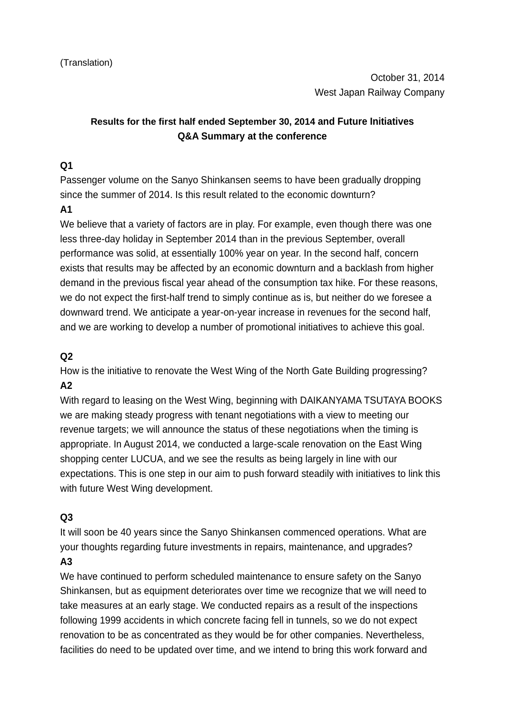# **Results for the first half ended September 30, 2014 and Future Initiatives Q&A Summary at the conference**

## **Q1**

Passenger volume on the Sanyo Shinkansen seems to have been gradually dropping since the summer of 2014. Is this result related to the economic downturn?

### **A1**

We believe that a variety of factors are in play. For example, even though there was one less three-day holiday in September 2014 than in the previous September, overall performance was solid, at essentially 100% year on year. In the second half, concern exists that results may be affected by an economic downturn and a backlash from higher demand in the previous fiscal year ahead of the consumption tax hike. For these reasons, we do not expect the first-half trend to simply continue as is, but neither do we foresee a downward trend. We anticipate a year-on-year increase in revenues for the second half, and we are working to develop a number of promotional initiatives to achieve this goal.

# **Q2**

How is the initiative to renovate the West Wing of the North Gate Building progressing? **A2**

With regard to leasing on the West Wing, beginning with DAIKANYAMA TSUTAYA BOOKS we are making steady progress with tenant negotiations with a view to meeting our revenue targets; we will announce the status of these negotiations when the timing is appropriate. In August 2014, we conducted a large-scale renovation on the East Wing shopping center LUCUA, and we see the results as being largely in line with our expectations. This is one step in our aim to push forward steadily with initiatives to link this with future West Wing development.

### **Q3**

It will soon be 40 years since the Sanyo Shinkansen commenced operations. What are your thoughts regarding future investments in repairs, maintenance, and upgrades? **A3**

We have continued to perform scheduled maintenance to ensure safety on the Sanyo Shinkansen, but as equipment deteriorates over time we recognize that we will need to take measures at an early stage. We conducted repairs as a result of the inspections following 1999 accidents in which concrete facing fell in tunnels, so we do not expect renovation to be as concentrated as they would be for other companies. Nevertheless, facilities do need to be updated over time, and we intend to bring this work forward and